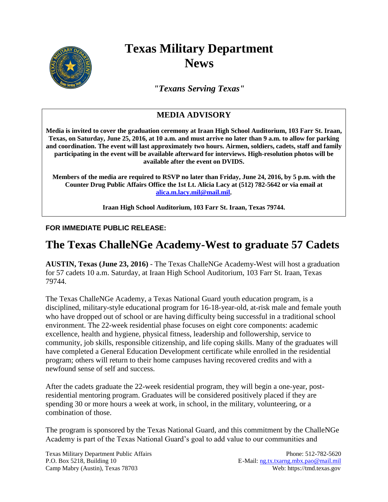

## **Texas Military Department News**

*"Texans Serving Texas"*

## **MEDIA ADVISORY**

**Media is invited to cover the graduation ceremony at Iraan High School Auditorium, 103 Farr St. Iraan, Texas, on Saturday, June 25, 2016, at 10 a.m. and must arrive no later than 9 a.m. to allow for parking and coordination. The event will last approximately two hours. Airmen, soldiers, cadets, staff and family participating in the event will be available afterward for interviews. High-resolution photos will be available after the event on DVIDS.** 

**Members of the media are required to RSVP no later than Friday, June 24, 2016, by 5 p.m. with the Counter Drug Public Affairs Office the 1st Lt. Alicia Lacy at (512) 782-5642 or via email at [alica.m.lacy.mil@mail.mil.](mailto:alica.m.lacy.mil@mail.mil)**

**Iraan High School Auditorium, 103 Farr St. Iraan, Texas 79744.**

## **FOR IMMEDIATE PUBLIC RELEASE:**

## **The Texas ChalleNGe Academy-West to graduate 57 Cadets**

**AUSTIN, Texas (June 23, 2016)** - The Texas ChalleNGe Academy-West will host a graduation for 57 cadets 10 a.m. Saturday, at Iraan High School Auditorium, 103 Farr St. Iraan, Texas 79744.

The Texas ChalleNGe Academy, a Texas National Guard youth education program, is a disciplined, military-style educational program for 16-18-year-old, at-risk male and female youth who have dropped out of school or are having difficulty being successful in a traditional school environment. The 22-week residential phase focuses on eight core components: academic excellence, health and hygiene, physical fitness, leadership and followership, service to community, job skills, responsible citizenship, and life coping skills. Many of the graduates will have completed a General Education Development certificate while enrolled in the residential program; others will return to their home campuses having recovered credits and with a newfound sense of self and success.

After the cadets graduate the 22-week residential program, they will begin a one-year, postresidential mentoring program. Graduates will be considered positively placed if they are spending 30 or more hours a week at work, in school, in the military, volunteering, or a combination of those.

The program is sponsored by the Texas National Guard, and this commitment by the ChalleNGe Academy is part of the Texas National Guard's goal to add value to our communities and